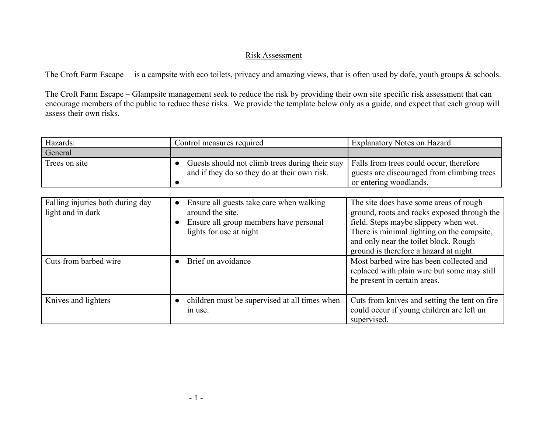## Risk Assessment

The Croft Farm Escape – is a campsite with eco toilets, privacy and amazing views, that is often used by dofe, youth groups & schools.

The Croft Farm Escape – Glampsite management seek to reduce the risk by providing their own site specific risk assessment that can encourage members of the public to reduce these risks. We provide the template below only as a guide, and expect that each group will assess their own risks.

| Hazards:      | Control measures required                                                                       | Explanatory Notes on Hazard                                                           |
|---------------|-------------------------------------------------------------------------------------------------|---------------------------------------------------------------------------------------|
| General       |                                                                                                 |                                                                                       |
| Trees on site | Guests should not climb trees during their stay<br>and if they do so they do at their own risk. | Falls from trees could occur, therefore<br>guests are discouraged from climbing trees |
|               |                                                                                                 | or entering woodlands.                                                                |

| Falling injuries both during day<br>light and in dark | Ensure all guests take care when walking<br>around the site.<br>Ensure all group members have personal<br>lights for use at night | The site does have some areas of rough<br>ground, roots and rocks exposed through the<br>field. Steps maybe slippery when wet.<br>There is minimal lighting on the campsite,<br>and only near the toilet block. Rough<br>ground is therefore a hazard at night. |
|-------------------------------------------------------|-----------------------------------------------------------------------------------------------------------------------------------|-----------------------------------------------------------------------------------------------------------------------------------------------------------------------------------------------------------------------------------------------------------------|
| Cuts from barbed wire                                 | Brief on avoidance                                                                                                                | Most barbed wire has been collected and<br>replaced with plain wire but some may still<br>be present in certain areas.                                                                                                                                          |
| Knives and lighters                                   | children must be supervised at all times when<br>in use.                                                                          | Cuts from knives and setting the tent on fire<br>could occur if young children are left un<br>supervised.                                                                                                                                                       |